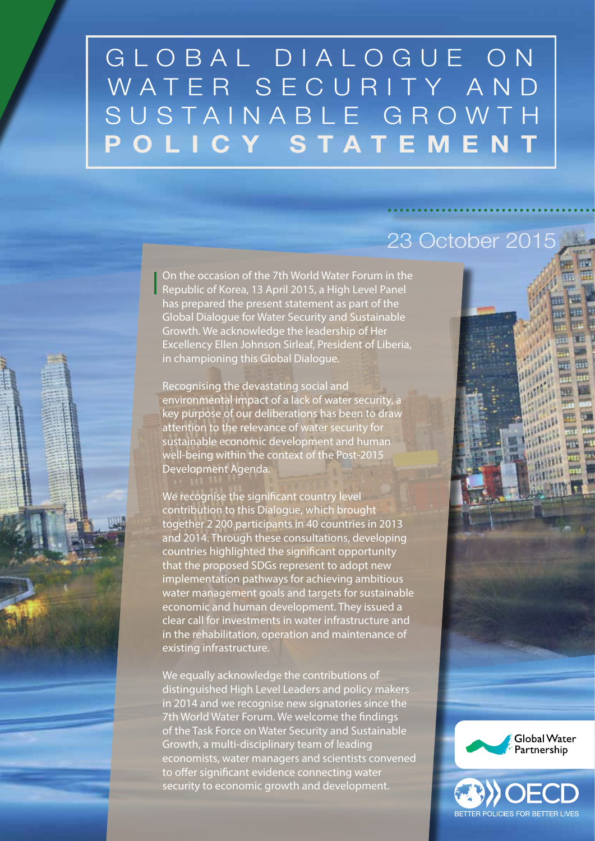# GLOBAL DIALOGUE ON WATER SECURITY AND SUSTAINABLE GROWT POLICY STATEMEN

On the occasion of the 7th World Water Forum in the Republic of Korea, 13 April 2015, a High Level Panel has prepared the present statement as part of the Global Dialogue for Water Security and Sustainable Growth. We acknowledge the leadership of Her Excellency Ellen Johnson Sirleaf, President of Liberia, in championing this Global Dialogue.

Recognising the devastating social and environmental impact of a lack of water security, a key purpose of our deliberations has been to draw attention to the relevance of water security for sustainable economic development and human well-being within the context of the Post-2015 Development Agenda.

We recognise the significant country level contribution to this Dialogue, which brought together 2 200 participants in 40 countries in 2013 and 2014. Through these consultations, developing countries highlighted the significant opportunity that the proposed SDGs represent to adopt new implementation pathways for achieving ambitious water management goals and targets for sustainable economic and human development. They issued a clear call for investments in water infrastructure and in the rehabilitation, operation and maintenance of existing infrastructure.

We equally acknowledge the contributions of distinguished High Level Leaders and policy makers in 2014 and we recognise new signatories since the 7th World Water Forum. We welcome the findings of the Task Force on Water Security and Sustainable Growth, a multi-disciplinary team of leading economists, water managers and scientists convened to offer significant evidence connecting water security to economic growth and development.

# 23 October 2015



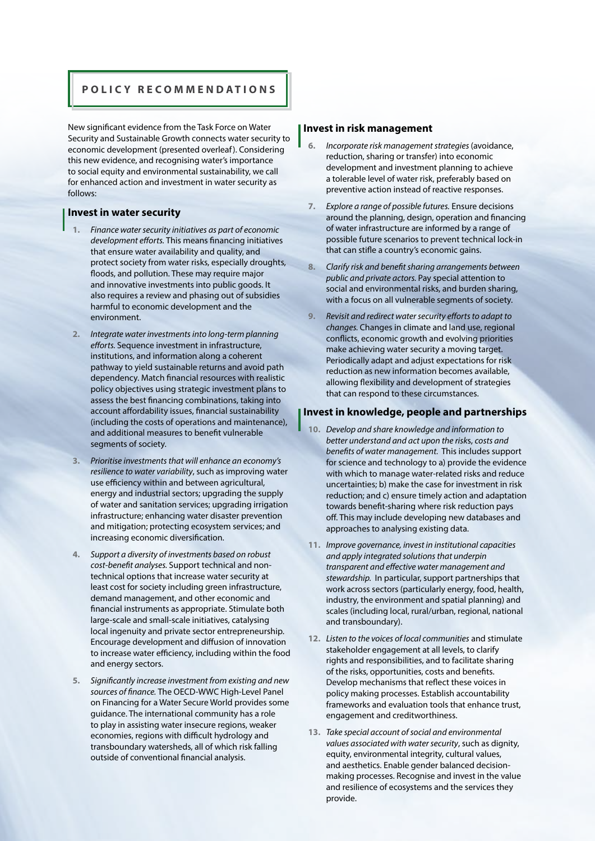## **POLICY RECOMMENDATIONS**

New significant evidence from the Task Force on Water Security and Sustainable Growth connects water security to economic development (presented overleaf). Considering this new evidence, and recognising water's importance to social equity and environmental sustainability, we call for enhanced action and investment in water security as follows:

## **Invest in water security**

- **1.** *Finance water security initiatives as part of economic development efforts.* This means financing initiatives that ensure water availability and quality, and protect society from water risks, especially droughts, floods, and pollution. These may require major and innovative investments into public goods. It also requires a review and phasing out of subsidies harmful to economic development and the environment.
- **2.** *Integrate water investments into long-term planning efforts.* Sequence investment in infrastructure, institutions, and information along a coherent pathway to yield sustainable returns and avoid path dependency. Match financial resources with realistic policy objectives using strategic investment plans to assess the best financing combinations, taking into account affordability issues, financial sustainability (including the costs of operations and maintenance), and additional measures to benefit vulnerable segments of society.
- **3.** *Prioritise investments that will enhance an economy's resilience to water variability*, such as improving water use efficiency within and between agricultural, energy and industrial sectors; upgrading the supply of water and sanitation services; upgrading irrigation infrastructure; enhancing water disaster prevention and mitigation; protecting ecosystem services; and increasing economic diversification.
- **4.** *Support a diversity of investments based on robust cost-benefit analyses.* Support technical and nontechnical options that increase water security at least cost for society including green infrastructure, demand management, and other economic and financial instruments as appropriate. Stimulate both large-scale and small-scale initiatives, catalysing local ingenuity and private sector entrepreneurship. Encourage development and diffusion of innovation to increase water efficiency, including within the food and energy sectors.
- **5.** *Significantly increase investment from existing and new sources of finance.* The OECD-WWC High-Level Panel on Financing for a Water Secure World provides some guidance. The international community has a role to play in assisting water insecure regions, weaker economies, regions with difficult hydrology and transboundary watersheds, all of which risk falling outside of conventional financial analysis.

## **Invest in risk management**

- **6.** *Incorporate risk management strategies* (avoidance, reduction, sharing or transfer) into economic development and investment planning to achieve a tolerable level of water risk, preferably based on preventive action instead of reactive responses.
- **7.** *Explore a range of possible futures.* Ensure decisions around the planning, design, operation and financing of water infrastructure are informed by a range of possible future scenarios to prevent technical lock-in that can stifle a country's economic gains.
- **8.** *Clarify risk and benefit sharing arrangements between public and private actors.* Pay special attention to social and environmental risks, and burden sharing, with a focus on all vulnerable segments of society.
- **9.** *Revisit and redirect water security efforts to adapt to changes.* Changes in climate and land use, regional conflicts, economic growth and evolving priorities make achieving water security a moving target. Periodically adapt and adjust expectations for risk reduction as new information becomes available, allowing flexibility and development of strategies that can respond to these circumstances.

## **Invest in knowledge, people and partnerships**

- **10.** *Develop and share knowledge and information to better understand and act upon the risk*s, *costs and benefits of water management.* This includes support for science and technology to a) provide the evidence with which to manage water-related risks and reduce uncertainties; b) make the case for investment in risk reduction; and c) ensure timely action and adaptation towards benefit-sharing where risk reduction pays off. This may include developing new databases and approaches to analysing existing data.
- **11.** *Improve governance, invest in institutional capacities and apply integrated solutions that underpin transparent and effective water management and stewardship.* In particular, support partnerships that work across sectors (particularly energy, food, health, industry, the environment and spatial planning) and scales (including local, rural/urban, regional, national and transboundary).
- **12.** *Listen to the voices of local communities* and stimulate stakeholder engagement at all levels, to clarify rights and responsibilities, and to facilitate sharing of the risks, opportunities, costs and benefits. Develop mechanisms that reflect these voices in policy making processes. Establish accountability frameworks and evaluation tools that enhance trust, engagement and creditworthiness.
- **13.** *Take special account of social and environmental values associated with water security*, such as dignity, equity, environmental integrity, cultural values, and aesthetics. Enable gender balanced decisionmaking processes. Recognise and invest in the value and resilience of ecosystems and the services they provide.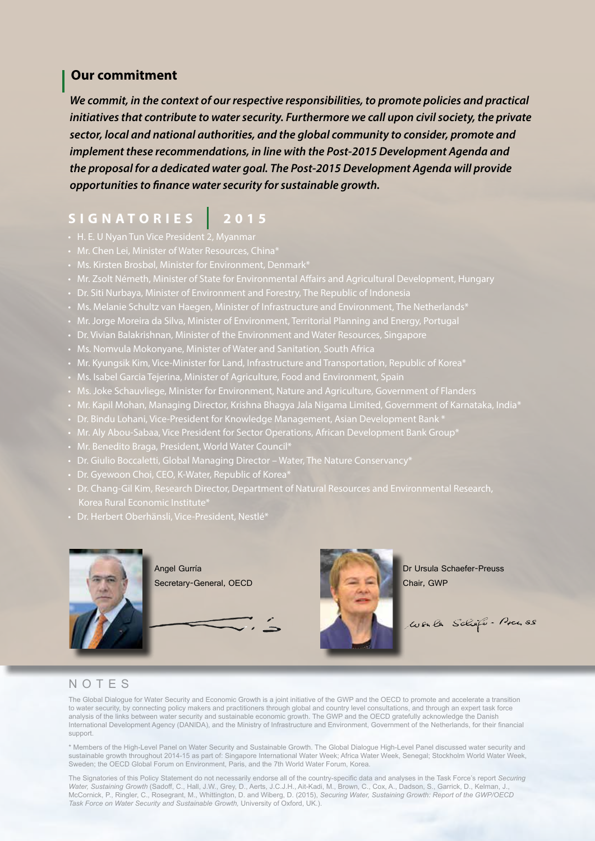## **Our commitment**

*We commit, in the context of our respective responsibilities, to promote policies and practical initiatives that contribute to water security. Furthermore we call upon civil society, the private sector, local and national authorities, and the global community to consider, promote and implement these recommendations, in line with the Post-2015 Development Agenda and the proposal for a dedicated water goal. The Post-2015 Development Agenda will provide opportunities to finance water security for sustainable growth.*

## **SIGNATORIES 2015**

- H. E. U Nyan Tun Vice President 2, Myanmar
- 
- 
- 
- 
- 
- Mr. Jorge Moreira da Silva, Minister of Environment, Territorial Planning and Energy, Portugal
- Dr. Vivian Balakrishnan, Minister of the Environment and Water Resources, Singapore
- 
- Mr. Kyungsik Kim, Vice-Minister for Land, Infrastructure and Transportation, Republic of Korea\*
- Ms. Isabel Garcia Tejerina, Minister of Agriculture, Food and Environment, Spain
- 
- Mr. Kapil Mohan, Managing Director, Krishna Bhagya Jala Nigama Limited, Government of Karnataka, India\*
- Dr. Bindu Lohani, Vice-President for Knowledge Management, Asian Development Bank \*
- 
- Mr. Benedito Braga, President, World Water Council\*
- Dr. Giulio Boccaletti, Global Managing Director Water, The Nature Conservancy\*
- Dr. Gyewoon Choi, CEO, K-Water, Republic of Korea\*
- Korea Rural Economic Institute\*
- 



Angel Gurría Secretary-General, OECD



Dr Ursula Schaefer-Preuss Chair, GWP

Wente Schofe-Presse

## NOTES

The Global Dialogue for Water Security and Economic Growth is a joint initiative of the GWP and the OECD to promote and accelerate a transition to water security, by connecting policy makers and practitioners through global and country level consultations, and through an expert task force analysis of the links between water security and sustainable economic growth. The GWP and the OECD gratefully acknowledge the Danish International Development Agency (DANIDA), and the Ministry of Infrastructure and Environment, Government of the Netherlands, for their financial support.

\* Members of the High-Level Panel on Water Security and Sustainable Growth. The Global Dialogue High-Level Panel discussed water security and sustainable growth throughout 2014-15 as part of: Singapore International Water Week; Africa Water Week, Senegal; Stockholm World Water Week, Sweden; the OECD Global Forum on Environment, Paris, and the 7th World Water Forum, Korea.

The Signatories of this Policy Statement do not necessarily endorse all of the country-specific data and analyses in the Task Force's report *Securing Water, Sustaining Growth* (Sadoff, C., Hall, J.W., Grey, D., Aerts, J.C.J.H., Ait-Kadi, M., Brown, C., Cox, A., Dadson, S., Garrick, D., Kelman, J., McCornick, P., Ringler, C., Rosegrant, M., Whittington, D. and Wiberg, D. (2015), *Securing Water, Sustaining Growth: Report of the GWP/OECD Task Force on Water Security and Sustainable Growth,* University of Oxford, UK.).